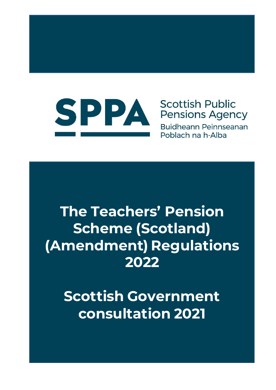

# **Scottish Public Pensions Agency**

**Buidheann Peinnseanan** Poblach na h-Alba

# **The Teachers' Pension Scheme (Scotland) (Amendment) Regulations 2022**

# **Scottish Government consultation 2021**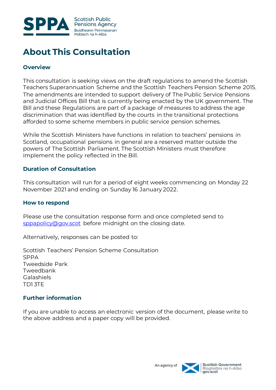

# **About This Consultation**

#### **Overview**

This consultation is seeking views on the draft regulations to amend the Scottish Teachers Superannuation Scheme and the Scottish Teachers Pension Scheme 2015. The amendments are intended to support delivery of The Public Service Pensions and Judicial Offices Bill that is currently being enacted by the UK government. The Bill and these Regulations are part of a package of measures to address the age discrimination that was identified by the courts in the transitional protections afforded to some scheme members in public service pension schemes.

While the Scottish Ministers have functions in relation to teachers' pensions in Scotland, occupational pensions in general are a reserved matter outside the powers of The Scottish Parliament. The Scottish Ministers must therefore implement the policy reflected in the Bill.

#### **Duration of Consultation**

This consultation will run for a period of eight weeks commencing on Monday 22 November 2021 and ending on Sunday 16 January 2022.

#### **How to respond**

Please use the consultation response form and once completed send to [sppapolicy@gov.scot](mailto:sppapolicy@gov.scot) before midnight on the closing date.

Alternatively, responses can be posted to:

Scottish Teachers' Pension Scheme Consultation SPPA Tweedside Park Tweedbank Galashiels TD1 3TE

# **Further information**

If you are unable to access an electronic version of the document, please write to the above address and a paper copy will be provided.

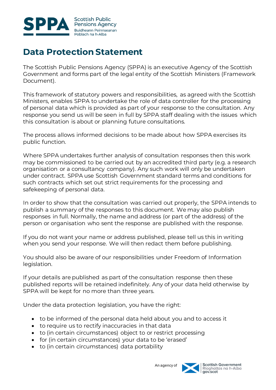

# **Data Protection Statement**

The Scottish Public Pensions Agency (SPPA) is an executive Agency of the Scottish Government and forms part of the legal entity of the Scottish Ministers (Framework Document).

This framework of statutory powers and responsibilities, as agreed with the Scottish Ministers, enables SPPA to undertake the role of data controller for the processing of personal data which is provided as part of your response to the consultation. Any response you send us will be seen in full by SPPA staff dealing with the issues which this consultation is about or planning future consultations.

The process allows informed decisions to be made about how SPPA exercises its public function.

Where SPPA undertakes further analysis of consultation responses then this work may be commissioned to be carried out by an accredited third party (e.g. a research organisation or a consultancy company). Any such work will only be undertaken under contract. SPPA use Scottish Government standard terms and conditions for such contracts which set out strict requirements for the processing and safekeeping of personal data.

In order to show that the consultation was carried out properly, the SPPA intends to publish a summary of the responses to this document. We may also publish responses in full. Normally, the name and address (or part of the address) of the person or organisation who sent the response are published with the response.

If you do not want your name or address published, please tell us this in writing when you send your response. We will then redact them before publishing.

You should also be aware of our responsibilities under Freedom of Information legislation.

If your details are published as part of the consultation response then these published reports will be retained indefinitely. Any of your data held otherwise by SPPA will be kept for no more than three years.

Under the data protection legislation, you have the right:

- to be informed of the personal data held about you and to access it
- to require us to rectify inaccuracies in that data
- to (in certain circumstances) object to or restrict processing
- for (in certain circumstances) your data to be 'erased'
- to (in certain circumstances) data portability

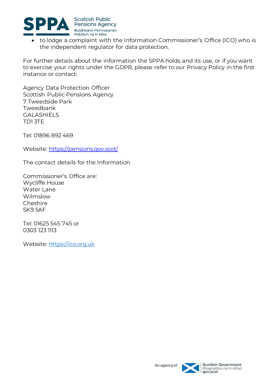

 to lodge a complaint with the Information Commissioner's Office (ICO) who is the independent regulator for data protection.

For further details about the information the SPPA holds and its use, or if you want to exercise your rights under the GDPR, please refer to our Privacy Policy in the first instance or contact:

Agency Data Protection Officer Scottish Public Pensions Agency 7 Tweedside Park Tweedbank GALASHIELS TD1 3TE

Tel: 01896 892 469

Website:<https://pensions.gov.scot/>

The contact details for the Information

Commissioner's Office are: Wycliffe House Water Lane Wilmslow **Cheshire** SK9 5AF

Tel: 01625 545 745 or 0303 123 1113

Website: [https://ico.org.uk](https://ico.org.uk/)

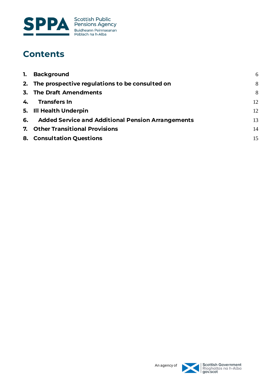

# **Contents**

| 1. Background                                        | 6  |
|------------------------------------------------------|----|
| 2. The prospective regulations to be consulted on    | 8  |
| 3. The Draft Amendments                              | 8  |
| 4. Transfers In                                      | 12 |
| 5. Ill Health Underpin                               | 12 |
| 6. Added Service and Additional Pension Arrangements | 13 |
| 7. Other Transitional Provisions                     | 14 |
| 8. Consultation Questions                            | 15 |

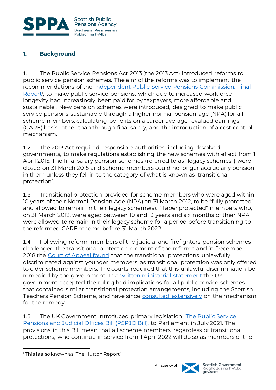

# <span id="page-5-0"></span>**1. Background**

1.1. The Public Service Pensions Act 2013 (the 2013 Act) introduced reforms to public service pension schemes. The aim of the reforms was to implement the recommendations of the [Independent Public Service Pensions Commission: Final](https://assets.publishing.service.gov.uk/government/uploads/system/uploads/attachment_data/file/207720/hutton_final_100311.pdf)  [Report](https://assets.publishing.service.gov.uk/government/uploads/system/uploads/attachment_data/file/207720/hutton_final_100311.pdf)<sup>1</sup>, to make public service pensions, which due to increased workforce longevity had increasingly been paid for by taxpayers, more affordable and sustainable . New pension schemes were introduced, designed to make public service pensions sustainable through a higher normal pension age (NPA) for all scheme members, calculating benefits on a career average revalued earnings (CARE) basis rather than through final salary, and the introduction of a cost control mechanism.

1.2. The 2013 Act required responsible authorities, including devolved governments, to make regulations establishing the new schemes with effect from 1 April 2015. The final salary pension schemes (referred to as "legacy schemes") were closed on 31 March 2015 and scheme members could no longer accrue any pension in them unless they fell in to the category of what is known as 'transitional protection'.

1.3. Transitional protection provided for scheme members who were aged within 10 years of their Normal Pension Age (NPA) on 31 March 2012, to be "fully protected" and allowed to remain in their legacy scheme(s). "Taper protected" members who, on 31 March 2012, were aged between 10 and 13 years and six months of their NPA were allowed to remain in their legacy scheme for a period before transitioning to the reformed CARE scheme before 31 March 2022.

1.4. Following reform, members of the judicial and firefighters pension schemes challenged the transitional protection element of the reforms and in December 2018 the [Court of Appeal found](https://www.judiciary.uk/wp-content/uploads/2018/12/lord-chancellor-v-mcloud-and-ors-judgment.pdf) that the transitional protections unlawfully discriminated against younger members, as transitional protection was only offered to older scheme members. The courts required that this unlawful discrimination be remedied by the government. In a [written ministerial statement](https://questions-statements.parliament.uk/written-statements/detail/2019-07-15/HCWS1725) the UK government accepted the ruling had implications for all public service schemes that contained similar transitional protection arrangements, including the Scottish Teachers Pension Scheme, and have since [consulted extensively](https://assets.publishing.service.gov.uk/government/uploads/system/uploads/attachment_data/file/900766/Public_Service_Pensions_Consultation.pdf) on the mechanism for the remedy.

1.5. The UK Government introduced primary legislation, The Public Service [Pensions and Judicial Offices Bill \(PSPJO Bill\),](https://bills.parliament.uk/publications/42278/documents/567) to Parliament in July 2021. The provisions in this Bill mean that all scheme members, regardless of transitional protections, who continue in service from 1 April 2022 will do so as members of the

l



<sup>&</sup>lt;sup>1</sup> This is also known as 'The Hutton Report'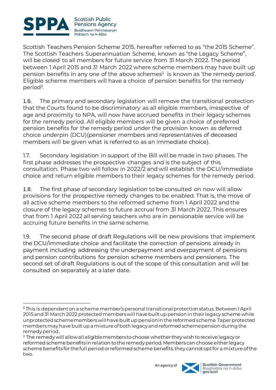

l

Scottish Teachers Pension Scheme 2015, hereafter referred to as "the 2015 Scheme". The Scottish Teachers Superannuation Scheme, known as "the Legacy Scheme", will be closed to all members for future service from 31 March 2022. The period between 1 April 2015 and 31 March 2022 where scheme members may have built up pension benefits in any one of the above schemes $2$  is known as 'the remedy period'. Eligible scheme members will have a choice of pension benefits for the remedy period<sup>3</sup>.

1.6. The primary and secondary legislation will remove the transitional protection that the Courts found to be discriminatory as all eligible members, irrespective of age and proximity to NPA, will now have accrued benefits in their legacy schemes for the remedy period. All eligible members will be given a choice of preferred pension benefits for the remedy period under the provision known as deferred choice underpin (DCU)(pensioner members and representatives of deceased members will be given what is referred to as an immediate choice).

1.7. Secondary legislation in support of the Bill will be made in two phases. The first phase addresses the prospective changes and is the subject of this consultation. Phase two will follow in 2022/2 and will establish the DCU/immediate choice and return eligible members to their legacy schemes for the remedy period.

1.8. The first phase of secondary legislation to be consulted on now will allow provisions for the prospective remedy changes to be enabled. That is, the move of all active scheme members to the reformed scheme from 1 April 2022 and the closure of the legacy schemes to future accrual from 31 March 2022. This ensures that from 1 April 2022 all serving teachers who are in pensionable service will be accruing future benefits in the same scheme.

1.9. The second phase of draft Regulations will be new provisions that implement the DCU/immediate choice and facilitate the correction of pensions already in payment including addressing the underpayment and overpayment of pensions and pension contributions for pension scheme members and pensioners. The second set of draft Regulations is out of the scope of this consultation and will be consulted on separately at a later date.

<sup>&</sup>lt;sup>3</sup> The remedy will allow all eligible members to choose whether they wish to receive legacy or reformed scheme benefits in relation to the remedy period. Members can choose either legacy scheme benefits for the full period or reformed scheme benefits, they cannot opt for a mixture of the two.



<sup>2</sup> This is dependent on a scheme member's personal transitional protection status. Between 1 April 2015 and 31 March 2022 protected members will have built up pension in their legacy scheme while unprotected scheme members will have built up pension in the reformed scheme. Taper protected members may have built up a mixture of both legacy and reformed scheme pension during the remedy period.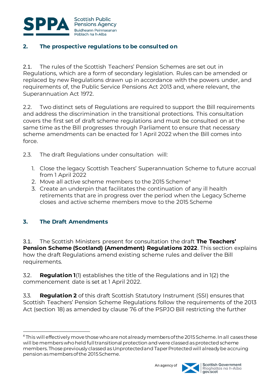

# <span id="page-7-0"></span>**2. The prospective regulations to be consulted on**

2.1. The rules of the Scottish Teachers' Pension Schemes are set out in Regulations, which are a form of secondary legislation. Rules can be amended or replaced by new Regulations drawn up in accordance with the powers under, and requirements of, the Public Service Pensions Act 2013 and, where relevant, the Superannuation Act 1972.

2.2. Two distinct sets of Regulations are required to support the Bill requirements and address the discrimination in the transitional protections. This consultation covers the first set of draft scheme regulations and must be consulted on at the same time as the Bill progresses through Parliament to ensure that necessary scheme amendments can be enacted for 1 April 2022 when the Bill comes into force.

- 2.3. The draft Regulations under consultation will:
	- 1. Close the legacy Scottish Teachers' Superannuation Scheme to future accrual from 1 April 2022
	- 2. Move all active scheme members to the 2015 Scheme<sup>4</sup>
	- 3. Create an underpin that facilitates the continuation of any ill health retirements that are in progress over the period when the Legacy Scheme closes and active scheme members move to the 2015 Scheme

# <span id="page-7-1"></span>**3. The Draft Amendments**

l

3.1. The Scottish Ministers present for consultation the draft **The Teachers' Pension Scheme (Scotland) (Amendment) Regulations 2022**. This section explains how the draft Regulations amend existing scheme rules and deliver the Bill requirements.

3.2. **Regulation 1**(1) establishes the title of the Regulations and in 1(2) the commencement date is set at 1 April 2022.

3.3. **Regulation 2** of this draft Scottish Statutory Instrument (SSI) ensures that Scottish Teachers' Pension Scheme Regulations follow the requirements of the 2013 Act (section 18) as amended by clause 76 of the PSPJO Bill restricting the further

<sup>4</sup> This will effectively move those who are not already members of the 2015 Scheme. In all cases these will be members who held full transitional protection and were classed as protected scheme members. Those previously classed as Unprotected and Taper Protected will already be accruing pension as members of the 2015 Scheme.

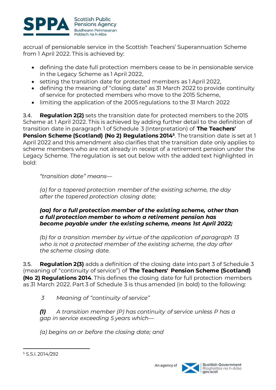

accrual of pensionable service in the Scottish Teachers' Superannuation Scheme from 1 April 2022. This is achieved by:

- defining the date full protection members cease to be in pensionable service in the Legacy Scheme as 1 April 2022,
- setting the transition date for protected members as 1 April 2022,
- defining the meaning of "closing date" as 31 March 2022 to provide continuity of service for protected members who move to the 2015 Scheme,
- limiting the application of the 2005 regulations to the 31 March 2022

3.4. **Regulation 2(2)** sets the transition date for protected members to the 2015 Scheme at 1 April 2022. This is achieved by adding further detail to the definition of transition date in paragraph 1 of Schedule 3 (Interpretation) of **The Teachers' Pension Scheme (Scotland) (No 2) Regulations 2014<sup>5</sup>** . The transition date is set at 1 April 2022 and this amendment also clarifies that the transition date only applies to scheme members who are not already in receipt of a retirement pension under the Legacy Scheme. The regulation is set out below with the added text highlighted in bold:

*"transition date" means—*

*(a) for a tapered protection member of the existing scheme, the day after the tapered protection closing date;*

### *(aa) for a full protection member of the existing scheme, other than a full protection member to whom a retirement pension has become payable under the existing scheme, means 1st April 2022;*

*(b) for a transition member by virtue of the application of paragraph 13 who is not a protected member of the existing scheme, the day after the scheme closing date.*

3.5. **Regulation 2(3)** adds a definition of the closing date into part 3 of Schedule 3 (meaning of "continuity of service") of **The Teachers' Pension Scheme (Scotland) (No 2) Regulations 2014**. This defines the closing date for full protection members as 31 March 2022. Part 3 of Schedule 3 is thus amended (in bold) to the following:

*3 Meaning of "continuity of service"*

*(1) A transition member (P) has continuity of service unless P has a gap in service exceeding 5 years which—*

*(a) begins on or before the closing date; and*



l <sup>5</sup> S.S.I. 2014/292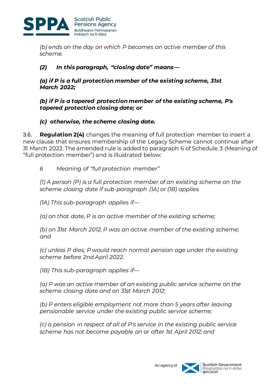

*(b) ends on the day on which P becomes an active member of this scheme.*

# *(2) In this paragraph, "closing date" means—*

*(a) if P is a full protection member of the existing scheme, 31st March 2022;*

*(b) if P is a tapered protection member of the existing scheme, P's tapered protection closing date; or*

# *(c) otherwise, the scheme closing date.*

3.6. **Regulation 2(4)** changes the meaning of full protection member to insert a new clause that ensures membership of the Legacy Scheme cannot continue after 31 March 2022. The amended rule is added to paragraph 6 of Schedule 3 (Meaning of "full protection member") and is illustrated below:

# *6 Meaning of "full protection member"*

*(1) A person (P) is a full protection member of an existing scheme on the scheme closing date if sub-paragraph (1A) or (1B) applies.*

*(1A) This sub-paragraph applies if—*

*(a) on that date, P is an active member of the existing scheme;*

*(b) on 31st March 2012, P was an active member of the existing scheme; and*

*(c) unless P dies, P would reach normal pension age under the existing scheme before 2nd April 2022.*

*(1B) This sub-paragraph applies if—*

*(a) P was an active member of an existing public service scheme on the scheme closing date and on 31st March 2012;*

*(b) P enters eligible employment not more than 5 years after leaving pensionable service under the existing public service scheme;*

*(c) a pension in respect of all of P's service in the existing public service scheme has not become payable on or after 1st April 2012; and*

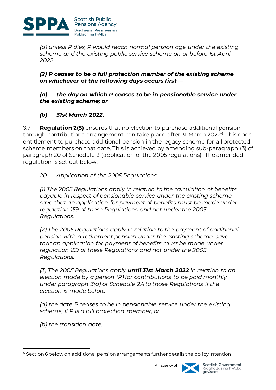

*(d) unless P dies, P would reach normal pension age under the existing scheme and the existing public service scheme on or before 1st April 2022.*

### *(2) P ceases to be a full protection member of the existing scheme on whichever of the following days occurs first—*

### *(a) the day on which P ceases to be in pensionable service under the existing scheme; or*

# *(b) 31st March 2022.*

3.7. **Regulation 2(5)** ensures that no election to purchase additional pension through contributions arrangement can take place after 31 March 2022<sup>6</sup>. This ends entitlement to purchase additional pension in the legacy scheme for all protected scheme members on that date. This is achieved by amending sub-paragraph (3) of paragraph 20 of Schedule 3 (application of the 2005 regulations). The amended regulation is set out below:

# *20 Application of the 2005 Regulations*

*(1) The 2005 Regulations apply in relation to the calculation of benefits payable in respect of pensionable service under the existing scheme, save that an application for payment of benefits must be made under regulation 159 of these Regulations and not under the 2005 Regulations.*

*(2) The 2005 Regulations apply in relation to the payment of additional pension with a retirement pension under the existing scheme, save that an application for payment of benefits must be made under regulation 159 of these Regulations and not under the 2005 Regulations.*

*(3) The 2005 Regulations apply until 31st March 2022 in relation to an election made by a person (P) for contributions to be paid monthly under paragraph 3(a) of Schedule 2A to those Regulations if the election is made before—*

*(a) the date P ceases to be in pensionable service under the existing scheme, if P is a full protection member; or*

*(b) the transition date.*

l <sup>6</sup> Section 6 below on additional pension arrangements further details the policy intention

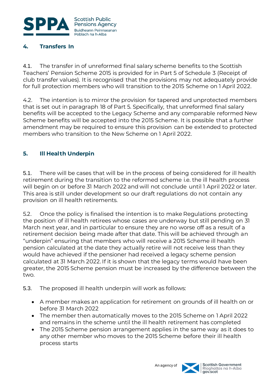

# <span id="page-11-0"></span>**4. Transfers In**

4.1. The transfer in of unreformed final salary scheme benefits to the Scottish Teachers' Pension Scheme 2015 is provided for in Part 5 of Schedule 3 (Receipt of club transfer values). It is recognised that the provisions may not adequately provide for full protection members who will transition to the 2015 Scheme on 1 April 2022.

4.2. The intention is to mirror the provision for tapered and unprotected members that is set out in paragraph 18 of Part 5. Specifically, that unreformed final salary benefits will be accepted to the Legacy Scheme and any comparable reformed New Scheme benefits will be accepted into the 2015 Scheme. It is possible that a further amendment may be required to ensure this provision can be extended to protected members who transition to the New Scheme on 1 April 2022.

# <span id="page-11-1"></span>**5. Ill Health Underpin**

5.1. There will be cases that will be in the process of being considered for ill health retirement during the transition to the reformed scheme i.e. the ill health process will begin on or before 31 March 2022 and will not conclude until 1 April 2022 or later. This area is still under development so our draft regulations do not contain any provision on ill health retirements.

5.2. Once the policy is finalised the intention is to make Regulations protecting the position of ill health retirees whose cases are underway but still pending on 31 March next year, and in particular to ensure they are no worse off as a result of a retirement decision being made after that date. This will be achieved through an "underpin" ensuring that members who will receive a 2015 Scheme ill health pension calculated at the date they actually retire will not receive less than they would have achieved if the pensioner had received a legacy scheme pension calculated at 31 March 2022. If it is shown that the legacy terms would have been greater, the 2015 Scheme pension must be increased by the difference between the two.

- 5.3. The proposed ill health underpin will work as follows:
	- A member makes an application for retirement on grounds of ill health on or before 31 March 2022
	- The member then automatically moves to the 2015 Scheme on 1 April 2022 and remains in the scheme until the ill health retirement has completed
	- The 2015 Scheme pension arrangement applies in the same way as it does to any other member who moves to the 2015 Scheme before their ill health process starts

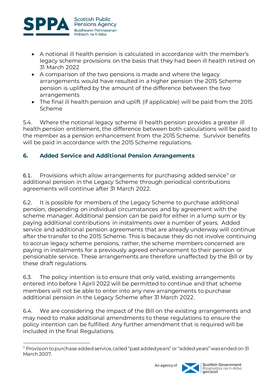

- A notional ill health pension is calculated in accordance with the member's legacy scheme provisions on the basis that they had been ill health retired on 31 March 2022
- A comparison of the two pensions is made and where the legacy arrangements would have resulted in a higher pension the 2015 Scheme pension is uplifted by the amount of the difference between the two arrangements
- The final ill health pension and uplift (if applicable) will be paid from the 2015 Scheme

5.4. Where the notional legacy scheme ill health pension provides a greater ill health pension entitlement, the difference between both calculations will be paid to the member as a pension enhancement from the 2015 Scheme. Survivor benefits will be paid in accordance with the 2015 Scheme regulations.

# <span id="page-12-0"></span>**6. Added Service and Additional Pension Arrangements**

6.1. Provisions which allow arrangements for purchasing added service<sup>7</sup> or additional pension in the Legacy Scheme through periodical contributions agreements will continue after 31 March 2022.

6.2. It is possible for members of the Legacy Scheme to purchase additional pension, depending on individual circumstances and by agreement with the scheme manager. Additional pension can be paid for either in a lump sum or by paying additional contributions in instalments over a number of years. Added service and additional pension agreements that are already underway will continue after the transfer to the 2015 Scheme. This is because they do not involve continuing to accrue legacy scheme pensions, rather, the scheme members concerned are paying in instalments for a previously agreed enhancement to their pension or pensionable service. These arrangements are therefore unaffected by the Bill or by these draft regulations.

6.3. The policy intention is to ensure that only valid, existing arrangements entered into before 1 April 2022 will be permitted to continue and that scheme members will not be able to enter into any new arrangements to purchase additional pension in the Legacy Scheme after 31 March 2022.

6.4. We are considering the impact of the Bill on the existing arrangements and may need to make additional amendments to these regulations to ensure the policy intention can be fulfilled. Any further amendment that is required will be included in the final Regulations.

l <sup>7</sup> Provision to purchase added service, called "past added years" or "added years" was ended on 31 March 2007.

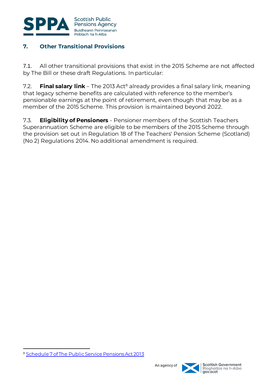

# <span id="page-13-0"></span>**7. Other Transitional Provisions**

7.1. All other transitional provisions that exist in the 2015 Scheme are not affected by The Bill or these draft Regulations. In particular:

7.2. **Final salary link** – The 2013 Act<sup>8</sup> already provides a final salary link, meaning that legacy scheme benefits are calculated with reference to the member's pensionable earnings at the point of retirement, even though that may be as a member of the 2015 Scheme. This provision is maintained beyond 2022.

7.3. **Eligibility of Pensioners** - Pensioner members of the Scottish Teachers Superannuation Scheme are eligible to be members of the 2015 Scheme through the provision set out in Regulation 18 of The Teachers' Pension Scheme (Scotland) (No 2) Regulations 2014. No additional amendment is required.

l



<sup>8</sup> [Schedule 7 of The Public Service Pensions Act 2013](https://www.legislation.gov.uk/ukpga/2013/25/schedule/7)